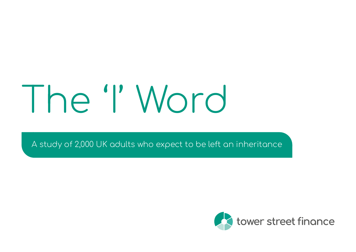# The 'I' Word

A study of 2,000 UK adults who expect to be left an inheritance

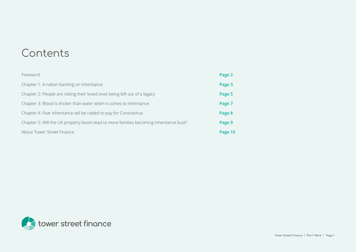## Contents

| Foreword                                                                              | Page 2  |
|---------------------------------------------------------------------------------------|---------|
| Chapter 1: A nation banking on inheritance                                            | Page 3  |
| Chapter 2: People are risking their loved ones being left out of a legacy             | Page 5  |
| Chapter 3: Blood is thicker than water when it comes to inheritance                   | Page 7  |
| Chapter 4: Fear inheritance will be raided to pay for Coronavirus                     | Page 8  |
| Chapter 5: Will the UK property boom lead to more families becoming inheritance bust? | Page 9  |
| About Tower Street Finance                                                            | Page 10 |

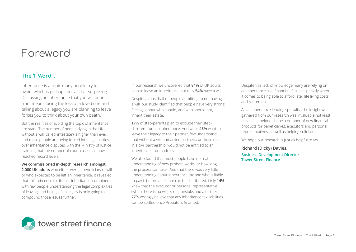## <span id="page-2-0"></span>Foreword

#### The 'I' Word...

Inheritance is a topic many people try to avoid, which is perhaps not all that surprising. Discussing an inheritance that you will benefit from means facing the loss of a loved one and talking about a legacy you are planning to leave forces you to think about your own death.

But the realities of avoiding the topic of inheritance are stark. The number of people dying in the UK without a will (called 'intestate') is higher than ever, and more people are being forced into legal battles over inheritance disputes, with the Ministry of Justice claiming that the number of court cases has now reached record levels.

#### **We commissioned in-depth research amongst**

**2,000 UK adults** who either were a beneficiary of will or who expected to be left an inheritance. It revealed that this reticence to discuss inheritance, combined with few people understanding the legal complexities of leaving, and being left, a legacy is only going to compound those issues further.

In our research we uncovered that **84%** of UK adults plan to leave an inheritance, but only **54%** have a will.

Despite almost half of people admitting to not having a will, our study identified that people have very strong feelings about who should, and who should not, inherit their estate.

**17%** of step-parents plan to exclude their stepchildren from an inheritance. And while **43%** want to leave their legacy to their partner, few understand that without a will unmarried partners, or those not in a civil partnership, would not be entitled to an inheritance automatically.

We also found that most people have no real understanding of how probate works, or how long the process can take. And that there was very little understanding about inheritance tax and who is liable to pay it before an estate can be distributed. Only **14%** knew that the executor or personal representative (when there is no will) is responsible, and a further **27%** wrongly believe that any inheritance tax liabilities can be settled once Probate is Granted.

Despite this lack of knowledge many are relying on an inheritance as a financial lifeline, especially when it comes to being able to afford later life living costs and retirement.

As an inheritance lending specialist, the insight we gathered from our research was invaluable not least because it helped shape a number of new financial products for beneficiaries, executors and personal representatives, as well as helping solicitors.

We hope our research is just as helpful to you.

#### **Richard (Dicky) Davies, Business Development Director Tower Street Finance**

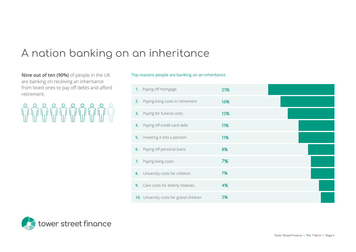# <span id="page-3-0"></span>A nation banking on an inheritance

**Nine out of ten (90%)** of people in the UK are banking on receiving an inheritance from loved ones to pay off debts and afford retirement.

# **MUTHUTHUT**

Top reasons people are banking on an inheritance

| 1. Paying off mortgage                  | 21% |  |
|-----------------------------------------|-----|--|
| Paying living costs in retirement<br>2. | 16% |  |
| Paying for funeral costs<br>3.          | 13% |  |
| 4. Paying off credit card debt          | 11% |  |
| Investing it into a pension<br>5.       | 11% |  |
| Paying off personal loans<br>6.         | 8%  |  |
| Paying living costs<br>7.               | 7%  |  |
| University costs for children<br>8.     | 7%  |  |
| 9. Care costs for elderly relatives     | 4%  |  |
| 10. University costs for grand-children | 3%  |  |

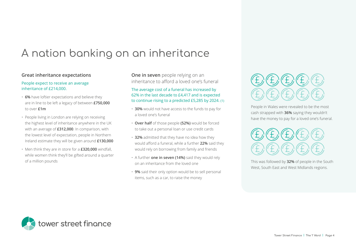# A nation banking on an inheritance

#### **Great inheritance expectations**

#### People expect to receive an average inheritance of £214,000.

- **6%** have loftier expectations and believe they are in line to be left a legacy of between **£750,000** to over **£1m**
- People living in London are relying on receiving the highest level of inheritance anywhere in the UK with an average of **£312,000**. In comparison, with the lowest level of expectation, people in Northern Ireland estimate they will be given around **£130,000**
- Men think they are in store for a **£320,000** windfall, while women think they'll be gifted around a quarter of a million pounds

**One in seven** people relying on an inheritance to afford a loved one's funeral

The average cost of a funeral has increased by 62% in the last decade to £4,417 and is expected to continue rising to a predicted £5,285 by 2024. (1)

- **30%** would not have access to the funds to pay for a loved one's funeral
- **Over half** of those people **(52%)** would be forced to take out a personal loan or use credit cards
- **32%** admitted that they have no idea how they would afford a funeral, while a further **22%** said they would rely on borrowing from family and friends
- A further **one in seven (14%)** said they would rely on an inheritance from the loved one
- **9%** said their only option would be to sell personal items, such as a car, to raise the money



People in Wales were revealed to be the most cash strapped with **36%** saying they wouldn't have the money to pay for a loved one's funeral.



This was followed by **32%** of people in the South West, South East and West Midlands regions.

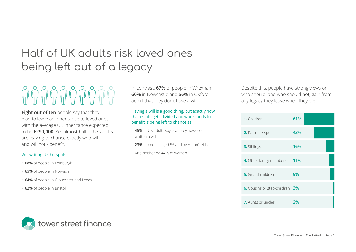# <span id="page-5-0"></span>Half of UK adults risk loved ones being left out of a legacy

**Eight out of ten** people say that they plan to leave an inheritance to loved ones, with the average UK inheritance expected to be **£290,000**. Yet almost half of UK adults are leaving to chance exactly who will and will not - benefit.

#### Will writing UK hotspots

- **68%** of people in Edinburgh
- **65%** of people in Norwich
- **64%** of people in Gloucester and Leeds
- **62%** of people in Bristol

In contrast, **67%** of people in Wrexham, **60%** in Newcastle and **56%** in Oxford admit that they don't have a will.

#### Having a will is a good thing, but exactly how that estate gets divided and who stands to benefit is being left to chance as:

- **45%** of UK adults say that they have not written a will
- **23%** of people aged 55 and over don't either
- And neither do **47%** of women

Despite this, people have strong views on who should, and who should not, gain from any legacy they leave when they die.



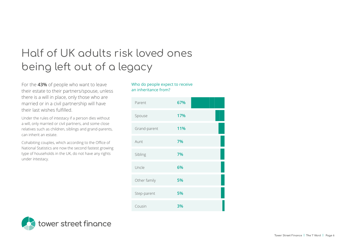# Half of UK adults risk loved ones being left out of a legacy

For the **43%** of people who want to leave their estate to their partners/spouse, unless there is a will in place, only those who are married or in a civil partnership will have their last wishes fulfilled.

Under the rules of intestacy if a person dies without a will, only married or civil partners, and some close relatives such as children, siblings and grand-parents, can inherit an estate.

Cohabiting couples, which according to the Office of National Statistics are now the second fastest growing type of households in the UK, do not have any rights under intestacy.

#### Who do people expect to receive an inheritance from?



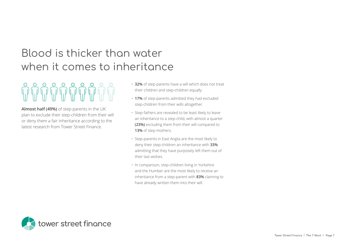# <span id="page-7-0"></span>Blood is thicker than water when it comes to inheritance

**Almost half (49%)** of step-parents in the UK plan to exclude their step-children from their will or deny them a fair inheritance according to the latest research from Tower Street Finance.

- **32%** of step-parents have a will which does not treat their children and step-children equally.
- **17%** of step-parents admitted they had excluded step-children from their wills altogether.
- Step-fathers are revealed to be least likely to leave an inheritance to a step-child, with almost a quarter **(23%)** excluding them from their will compared to **13%** of step-mothers.
- Step-parents in East Anglia are the most likely to deny their step-children an inheritance with **33%** admitting that they have purposely left them out of their last wishes.
- In comparison, step-children living in Yorkshire and the Humber are the most likely to receive an inheritance from a step-parent with **83%** claiming to have already written them into their will.

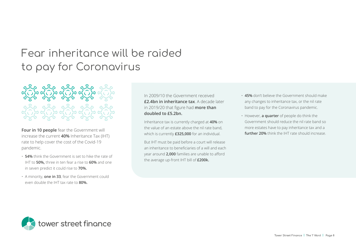# <span id="page-8-0"></span>Fear inheritance will be raided to pay for Coronavirus

**Four in 10 people** fear the Government will increase the current **40%** Inheritance Tax (IHT) rate to help cover the cost of the Covid-19 pandemic.

- **54%** think the Government is set to hike the rate of IHT to **50%,** three in ten fear a rise to **60%** and one in seven predict it could rise to **70%.**
- A minority, **one in 33**, fear the Government could even double the IHT tax rate to **80%.**

In 2009/10 the Government received **£2.4bn in inheritance tax**. A decade later in 2019/20 that figure had **more than doubled to £5.2bn.** 

Inheritance tax is currently charged at **40%** on the value of an estate above the nil rate band, which is currently **£325,000** for an individual.

But IHT must be paid before a court will release an inheritance to beneficiaries of a will and each year around **2,000** families are unable to afford the average up-front IHT bill of **£200k.** 

- **45%** don't believe the Government should make any changes to inheritance tax, or the nil rate band to pay for the Coronavirus pandemic.
- However, **a quarter** of people do think the Government should reduce the nil rate band so more estates have to pay inheritance tax and a **further 20%** think the IHT rate should increase.

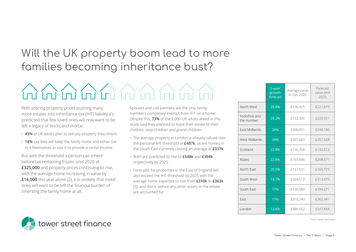# <span id="page-9-0"></span>Will the UK property boom lead to more families becoming inheritance bust?

# <u>Iniminininininin</u>

With soaring property prices pushing many more estates into inheritance tax (IHT) liability it's predicted that few loved ones will now want to be left a legacy of bricks and mortar.

- **45%** of UK adults plan to sell any property they inherit.
- **18%** say they will keep the family home and either live in it themselves or use it to provide a rental income.

But with the threshold a person can inherit before tax remaining frozen until 2026 at **£325,000** and property prices continuing to rise, with the average home increasing in value by **£16,000** this year alone (2), it is unlikely that loved ones will want to be left the financial burden of inheriting the family home at all.

Spouses and civil partners are the only family members completely exempt from IHT on a home. Despite this, **73%** of the 2,000 UK adults asked in this study said they planned to leave their estate to their children, step-children and grand-children.

- The average property in London is already valued over the personal IHT threshold at **£487k**, as are homes in the South East currently costing an average of **£337k**.
- Both are predicted to rise to **£548k** and **£394k** respectively by 2025.
- Forecasts for properties in the East of England will also exceed the IHT threshold by 2025 with the average home expected to rise from **£310k** to **£363k** (3), and this is before any other assets in the estate are accounted for.

|                             | 5-year<br>growth<br>forecast | Average value<br>in Dec 2020 | Forecast<br>value end<br>2025 |
|-----------------------------|------------------------------|------------------------------|-------------------------------|
| North West                  | 28.8%                        | £176,925                     | £227,879                      |
| Yorkshire and<br>the Humber | 28.2%                        | £172,326                     | £220,921                      |
| <b>Fast Midlands</b>        | 24%                          | £200,951                     | £249,180                      |
| West Midlands               | 24%                          | £207,603                     | £257,428                      |
| Scotland                    | 22.8%                        | £156,768                     | £192,512                      |
| Wales                       | 22.8%                        | £169,846                     | £208,571                      |
| North Fast                  | 20.5%                        | £137,531                     | £165,725                      |
| South West                  | 18.7%                        | £264,512                     | £313,975                      |
| South East                  | 17%                          | £336,984                     | £394,271                      |
| Fast                        | 17%                          | £310,240                     | £362,981                      |
| London                      | 12.6%                        | £486,562                     | £547,868                      |



*Source: Savills / Nationwide*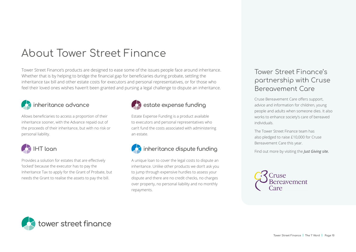# <span id="page-10-0"></span>About Tower Street Finance

Tower Street Finance's products are designed to ease some of the issues people face around inheritance. Whether that is by helping to bridge the financial gap for beneficiaries during probate, settling the inheritance tax bill and other estate costs for executors and personal representatives, or for those who feel their loved ones wishes haven't been granted and pursing a legal challenge to dispute an inheritance.



Allows beneficiaries to access a proportion of their inheritance sooner, with the Advance repaid out of the proceeds of their inheritance, but with no risk or personal liability.



Provides a solution for estates that are effectively 'locked' because the executor has to pay the Inheritance Tax to apply for the Grant of Probate, but needs the Grant to realise the assets to pay the bill.



### inheritance advance  $\begin{array}{ccc} & & \bullet & \bullet\end{array}$  estate expense funding

Estate Expense Funding is a product available to executors and personal representatives who can't fund the costs associated with administering an estate.



A unique loan to cover the legal costs to dispute an inheritance. Unlike other products we don't ask you to jump through expensive hurdles to assess your dispute and there are no credit checks, no charges over property, no personal liability and no monthly repayments.

#### Tower Street Finance's partnership with Cruse Bereavement Care

Cruse Bereavement Care offers support, advice and information for children, young people and adults when someone dies. It also works to enhance society's care of bereaved individuals.

The Tower Street Finance team has also pledged to raise £10,000 for Cruse Bereavement Care this year.

Find out more by visiting the *[Just Giving site.](https://www.justgiving.com/campaign/TowerStreetFinanceCharityChallenge?success=true)*